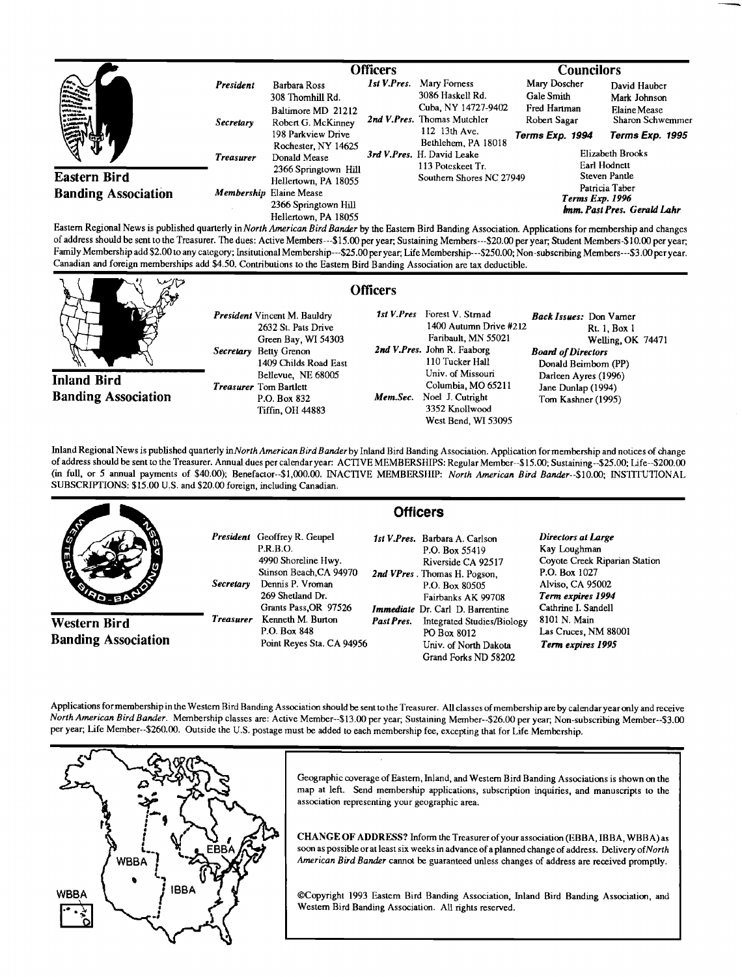|                                                                                                                                                                                                                                                                                                                                     |                                              | <b>Officers</b>                                                              |                                               |                                                                                        | <b>Councilors</b>                                          |                                                                  |
|-------------------------------------------------------------------------------------------------------------------------------------------------------------------------------------------------------------------------------------------------------------------------------------------------------------------------------------|----------------------------------------------|------------------------------------------------------------------------------|-----------------------------------------------|----------------------------------------------------------------------------------------|------------------------------------------------------------|------------------------------------------------------------------|
| <b>CARDINA</b>                                                                                                                                                                                                                                                                                                                      | President<br><b>Secretary</b>                | Barbara Ross<br>308 Thomhill Rd.<br>Baltimore MD 21212<br>Robert G. McKinney | 1st V.Pres.                                   | Mary Forness<br>3086 Haskell Rd.<br>Cuba, NY 14727-9402<br>2nd V.Pres. Thomas Mutchler | Mary Doscher<br>Gale Smith<br>Fred Hartman<br>Robert Sagar | David Hauber<br>Mark Johnson<br>Elaine Mease<br>Sharon Schwemmer |
| ፷                                                                                                                                                                                                                                                                                                                                   | <b>Treasurer</b>                             | 198 Parkview Drive<br>Rochester, NY 14625<br>Donald Mease                    |                                               | 112 13th Ave.<br>Bethlehem, PA 18018<br>3rd V.Pres. H. David Leake                     | Terms Exp. 1994                                            | Terms Exp. 1995<br>Elizabeth Brooks                              |
| <b>Eastern Bird</b>                                                                                                                                                                                                                                                                                                                 | 2366 Springtown Hill<br>Hellertown, PA 18055 |                                                                              | 113 Poteskeet Tr.<br>Southern Shores NC 27949 |                                                                                        | Earl Hodnett<br>Steven Pantle<br>Patricia Taber            |                                                                  |
| <b>Banding Association</b><br>$\Gamma$ actors $\Gamma$ actors in a sublished quadratic in $N$ act, Associated B and $\Gamma$ and $\Gamma$ and $\Gamma$ and $\Gamma$ and $\Gamma$ and $\Gamma$ and $\Gamma$ and $\Gamma$ and $\Gamma$ and $\Gamma$ and $\Gamma$ and $\Gamma$ and $\Gamma$ and $\Gamma$ and $\Gamma$ and $\Gamma$ and |                                              | Membership Elaine Mease<br>2366 Springtown Hill<br>Hellertown, PA 18055      |                                               |                                                                                        | Terms Exp. 1996<br>Imm. Past Pres. Gerald Lahr             |                                                                  |

**Eastern Regional News is published quarterly in North American Bird Bander by the Eastern Bird Banding Association. Applications for membership and changes of address should be sent to the Treasurer. The dues: Active Members---\$15.00 per year; Sustaining Members---S20.00 per year, Student Members-\$10.00 peryear; Family Membership add \$2.00 to any category; Insitutional Membership---S25.00 per year; Life Membership---S250.00; Non-subscribing Members---S3.00 per year. Canadian and foreign memberships add \$4.50. Contributions to the Eastern Bird Banding Association are tax deductible.** 

| いンク                                              | <b>Officers</b>                                                                                                                                                                                                                    |          |                                                                                                                                                                                                                                            |                                                                                                                                                                                            |
|--------------------------------------------------|------------------------------------------------------------------------------------------------------------------------------------------------------------------------------------------------------------------------------------|----------|--------------------------------------------------------------------------------------------------------------------------------------------------------------------------------------------------------------------------------------------|--------------------------------------------------------------------------------------------------------------------------------------------------------------------------------------------|
| <b>Inland Bird</b><br><b>Banding Association</b> | <b>President</b> Vincent M. Bauldry<br>2632 St. Pats Drive<br>Green Bay, WI 54303<br>Betty Grenon<br>Secretary<br>1409 Childs Road East<br>Bellevue, NE 68005<br><b>Treasurer</b> Tom Bartlett<br>P.O. Box 832<br>Tiffin, OH 44883 | Mem.Sec. | 1st V.Pres Forest V. Strnad<br>$1400$ Autumn Drive $#212$<br>Faribault, MN 55021<br>2nd V.Pres. John R. Faaborg<br>110 Tucker Hall<br>Univ. of Missouri<br>Columbia, MO 65211<br>Noel J. Cutright<br>3352 Knollwood<br>West Bend, WI 53095 | <b>Back Issues:</b> Don Vamer<br>Rt. 1, Box 1<br>Welling OK 74471<br><b>Board of Directors</b><br>Donald Beimborn (PP)<br>Darleen Ayres (1996)<br>Jane Dunlap (1994)<br>Tom Kashner (1995) |

**Inland Regional News is published quarterly inNorth American Bird Banderby Inland Bird Banding Association. Application for membership and notices of change of address should be sent to the Treasurer. Annual dues per calendar year: ACTIVE MEMBERSHIPS: Regular Member--\$15.00; Sustaining--S25.00; Life--S200.00 (in full, or 5 annual payments of \$40.00); Benefactor--S1,000.00. INACTIVE MEMBERSHIP: North American Bird Bander--S10.00; INSTITUTIONAL SUBSCRIPTIONS: \$15.00 U.S. and \$20.00 foreign, including Canadian.** 

|                                            | <b>Officers</b>  |                                                                                                                                                                           |            |                                                                                                                                                                                           |                                                                                                                                                      |  |  |
|--------------------------------------------|------------------|---------------------------------------------------------------------------------------------------------------------------------------------------------------------------|------------|-------------------------------------------------------------------------------------------------------------------------------------------------------------------------------------------|------------------------------------------------------------------------------------------------------------------------------------------------------|--|--|
| <b>AND</b><br><b>SIGRE</b>                 | <b>Secretary</b> | <b>President</b> Geoffrey R. Geupel<br><b>P.R.B.O.</b><br>4990 Shoreline Hwy.<br>Stinson Beach, CA 94970<br>Dennis P. Vroman<br>269 Shetland Dr.<br>Grants Pass, OR 97526 |            | 1st V.Pres. Barbara A. Carlson<br>P.O. Box 55419<br>Riverside CA 92517<br>2nd VPres. Thomas H. Pogson.<br>P.O. Box 80505<br>Fairbanks AK 99708<br><b>Immediate</b> Dr. Carl D. Barrentine | Directors at Large<br>Kay Loughman<br>Coyote Creek Riparian Station<br>P.O. Box 1027<br>Alviso, CA 95002<br>Term expires 1994<br>Cathrine I. Sandell |  |  |
| Western Bird<br><b>Banding Association</b> | <b>Treasurer</b> | Kenneth M. Burton<br>P.O. Box 848<br>Point Reyes Sta. CA 94956                                                                                                            | Past Pres. | Integrated Studies/Biology<br>PO Box 8012<br>Univ. of North Dakota<br>Grand Forks ND 58202                                                                                                | 8101 N. Main<br>Las Cruces, NM 88001<br>Term expires 1995                                                                                            |  |  |

**Applications for membership in the Westem Bird Banding Association should be sent to the Treasurer. All classes of membership are by calendar year only and receive North American Bird Bander. Membership classes are: Active Member-\$13.00 peryear; Sustaining Member--S26.00 per year, Non-subscribing Member--S3.00**  per year; Life Member--\$260.00. Outside the U.S. postage must be added to each membership fee, excepting that for Life Membership.



Geographic coverage of Eastern, Inland, and Western Bird Banding Associations is shown on the **map at left. Send membership aplications, subscription inquiries, and manuscripts to the association representing your geographic area.** 

**CHANGE OF ADDRESS? Inform the Treasurer of your association (EBBA, IBBA, WBBA) as**  soon as possible or at least six weeks in advance of a planned change of address. Delivery of North American Bird Bander cannot be guaranteed unless changes of address are received promptly.

**•Copyright 1993 Eastern Bird Banding Association, Inland Bird Banding Association, and Western Bird Banding Association. All rights resemed.**